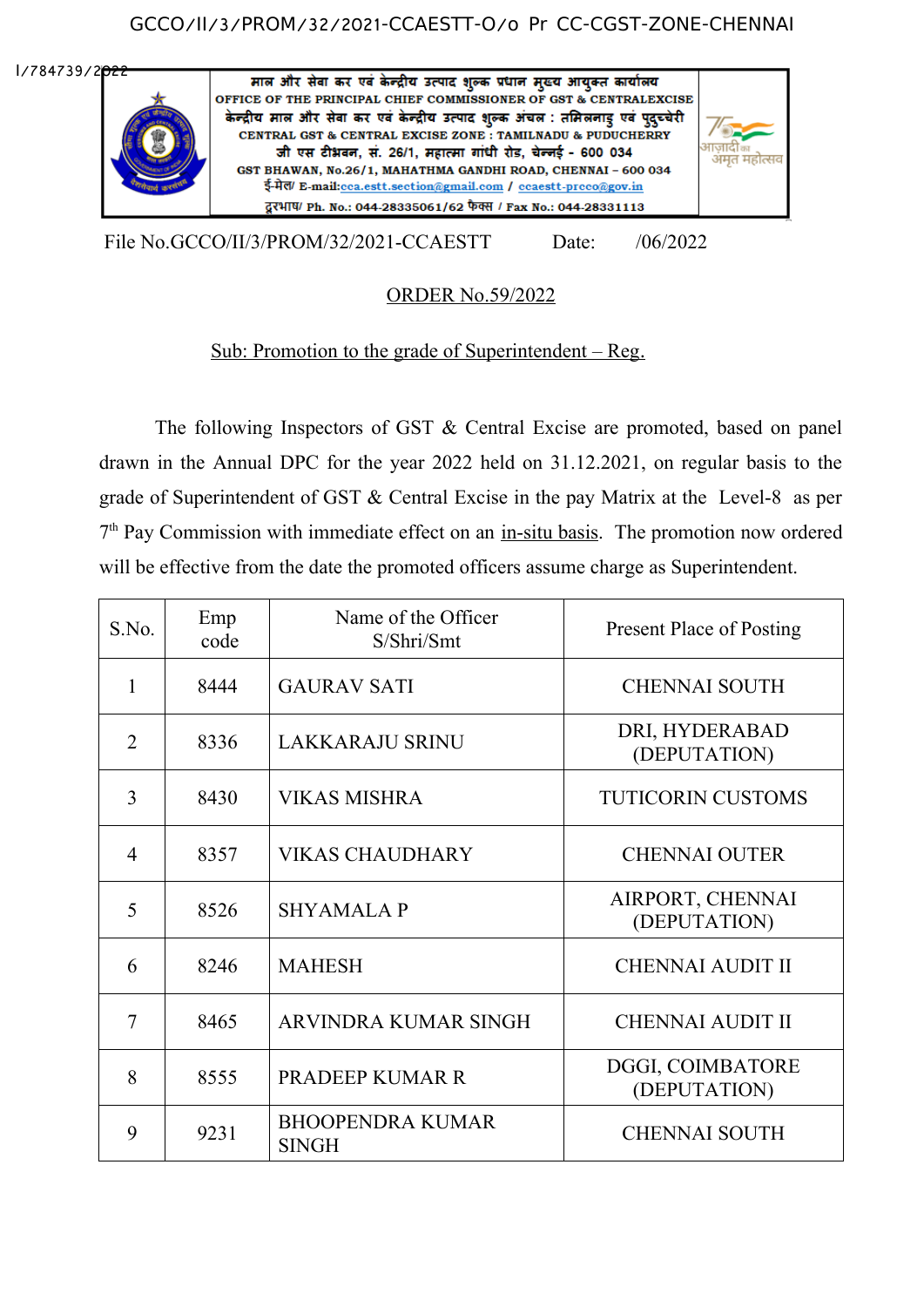### GCCO/II/3/PROM/32/2021-CCAESTT-O/o Pr CC-CGST-ZONE-CHENNAI

I/784739/2022



File No.GCCO/II/3/PROM/32/2021-CCAESTT Date: /06/2022

# ORDER No.59/2022

## Sub: Promotion to the grade of Superintendent – Reg.

The following Inspectors of GST & Central Excise are promoted, based on panel drawn in the Annual DPC for the year 2022 held on 31.12.2021, on regular basis to the grade of Superintendent of GST & Central Excise in the pay Matrix at the Level-8 as per 7<sup>th</sup> Pay Commission with immediate effect on an in-situ basis. The promotion now ordered will be effective from the date the promoted officers assume charge as Superintendent.

| S.No.          | Emp<br>code | Name of the Officer<br>S/Shri/Smt       | <b>Present Place of Posting</b>  |
|----------------|-------------|-----------------------------------------|----------------------------------|
| 1              | 8444        | <b>GAURAV SATI</b>                      | <b>CHENNAI SOUTH</b>             |
| $\overline{2}$ | 8336        | <b>LAKKARAJU SRINU</b>                  | DRI, HYDERABAD<br>(DEPUTATION)   |
| 3              | 8430        | <b>VIKAS MISHRA</b>                     | <b>TUTICORIN CUSTOMS</b>         |
| $\overline{4}$ | 8357        | <b>VIKAS CHAUDHARY</b>                  | <b>CHENNAI OUTER</b>             |
| 5              | 8526        | <b>SHYAMALA P</b>                       | AIRPORT, CHENNAI<br>(DEPUTATION) |
| 6              | 8246        | <b>MAHESH</b>                           | <b>CHENNAI AUDIT II</b>          |
| $\overline{7}$ | 8465        | ARVINDRA KUMAR SINGH                    | <b>CHENNAI AUDIT II</b>          |
| 8              | 8555        | PRADEEP KUMAR R                         | DGGI, COIMBATORE<br>(DEPUTATION) |
| 9              | 9231        | <b>BHOOPENDRA KUMAR</b><br><b>SINGH</b> | <b>CHENNAI SOUTH</b>             |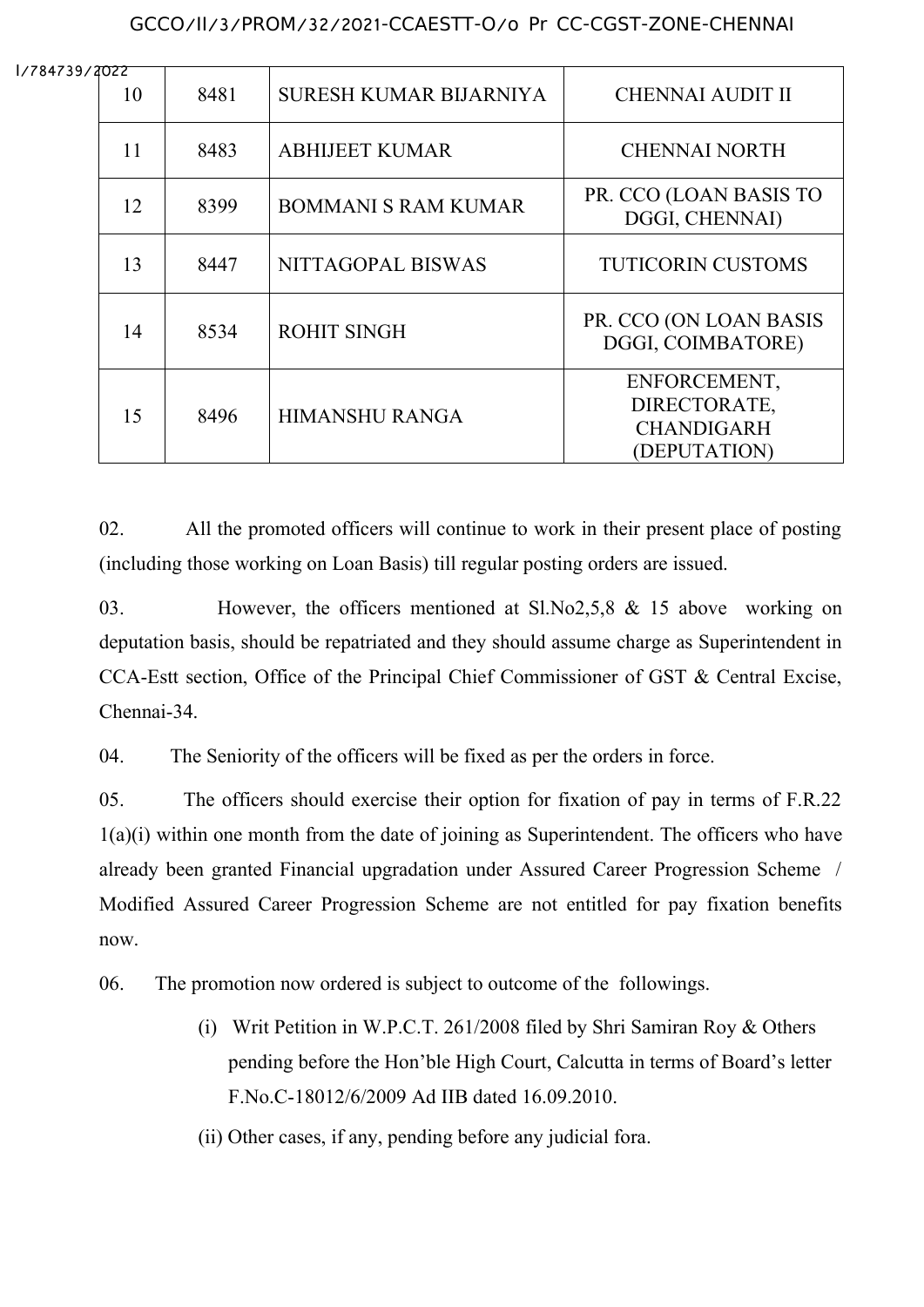### GCCO/II/3/PROM/32/2021-CCAESTT-O/o Pr CC-CGST-ZONE-CHENNAI

I/784739/2022

| 40 L L<br>10 | 8481 | SURESH KUMAR BIJARNIYA     | <b>CHENNAI AUDIT II</b>                                           |
|--------------|------|----------------------------|-------------------------------------------------------------------|
| 11           | 8483 | <b>ABHIJEET KUMAR</b>      | <b>CHENNAI NORTH</b>                                              |
| 12           | 8399 | <b>BOMMANI S RAM KUMAR</b> | PR. CCO (LOAN BASIS TO<br>DGGI, CHENNAI)                          |
| 13           | 8447 | NITTAGOPAL BISWAS          | <b>TUTICORIN CUSTOMS</b>                                          |
| 14           | 8534 | <b>ROHIT SINGH</b>         | PR. CCO (ON LOAN BASIS<br>DGGI, COIMBATORE)                       |
| 15           | 8496 | HIMANSHU RANGA             | ENFORCEMENT,<br>DIRECTORATE,<br><b>CHANDIGARH</b><br>(DEPUTATION) |

02. All the promoted officers will continue to work in their present place of posting (including those working on Loan Basis) till regular posting orders are issued.

03. However, the officers mentioned at Sl.No2,5,8 & 15 above working on deputation basis, should be repatriated and they should assume charge as Superintendent in CCA-Estt section, Office of the Principal Chief Commissioner of GST & Central Excise, Chennai-34.

04. The Seniority of the officers will be fixed as per the orders in force.

05. The officers should exercise their option for fixation of pay in terms of F.R.22 1(a)(i) within one month from the date of joining as Superintendent. The officers who have already been granted Financial upgradation under Assured Career Progression Scheme / Modified Assured Career Progression Scheme are not entitled for pay fixation benefits now.

06. The promotion now ordered is subject to outcome of the followings.

- (i) Writ Petition in W.P.C.T. 261/2008 filed by Shri Samiran Roy & Others pending before the Hon'ble High Court, Calcutta in terms of Board's letter F.No.C-18012/6/2009 Ad IIB dated 16.09.2010.
- (ii) Other cases, if any, pending before any judicial fora.